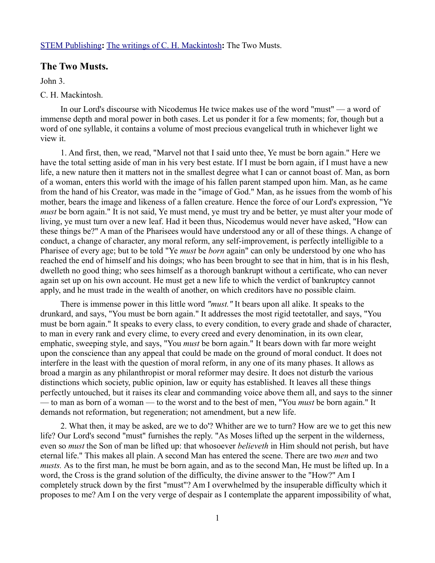## [STEM Publishing](http://www.stempublishing.com/)**:** [The writings of C. H. Mackintosh](http://www.stempublishing.com/authors/mackintosh/index.html)**:** The Two Musts.

## **The Two Musts.**

John 3.

## C. H. Mackintosh.

In our Lord's discourse with Nicodemus He twice makes use of the word "must" — a word of immense depth and moral power in both cases. Let us ponder it for a few moments; for, though but a word of one syllable, it contains a volume of most precious evangelical truth in whichever light we view it.

1. And first, then, we read, "Marvel not that I said unto thee, Ye must be born again." Here we have the total setting aside of man in his very best estate. If I must be born again, if I must have a new life, a new nature then it matters not in the smallest degree what I can or cannot boast of. Man, as born of a woman, enters this world with the image of his fallen parent stamped upon him. Man, as he came from the hand of his Creator, was made in the "image of God." Man, as he issues from the womb of his mother, bears the image and likeness of a fallen creature. Hence the force of our Lord's expression, "Ye *must* be born again." It is not said, Ye must mend, ye must try and be better, ye must alter your mode of living, ye must turn over a new leaf. Had it been thus, Nicodemus would never have asked, "How can these things be?" A man of the Pharisees would have understood any or all of these things. A change of conduct, a change of character, any moral reform, any self-improvement, is perfectly intelligible to a Pharisee of every age; but to be told "Ye *must* be *born* again" can only be understood by one who has reached the end of himself and his doings; who has been brought to see that in him, that is in his flesh, dwelleth no good thing; who sees himself as a thorough bankrupt without a certificate, who can never again set up on his own account. He must get a new life to which the verdict of bankruptcy cannot apply, and he must trade in the wealth of another, on which creditors have no possible claim.

There is immense power in this little word *"must."* It bears upon all alike. It speaks to the drunkard, and says, "You must be born again." It addresses the most rigid teetotaller, and says, "You must be born again." It speaks to every class, to every condition, to every grade and shade of character, to man in every rank and every clime, to every creed and every denomination, in its own clear, emphatic, sweeping style, and says, "You *must* be born again." It bears down with far more weight upon the conscience than any appeal that could be made on the ground of moral conduct. It does not interfere in the least with the question of moral reform, in any one of its many phases. It allows as broad a margin as any philanthropist or moral reformer may desire. It does not disturb the various distinctions which society, public opinion, law or equity has established. It leaves all these things perfectly untouched, but it raises its clear and commanding voice above them all, and says to the sinner — to man as born of a woman — to the worst and to the best of men, "You *must* be born again." It demands not reformation, but regeneration; not amendment, but a new life.

2. What then, it may be asked, are we to do'? Whither are we to turn? How are we to get this new life? Our Lord's second "must" furnishes the reply. "As Moses lifted up the serpent in the wilderness, even so *must* the Son of man be lifted up: that whosoever *believeth* in Him should not perish, but have eternal life." This makes all plain. A second Man has entered the scene. There are two *men* and two *musts.* As to the first man, he must be born again, and as to the second Man, He must be lifted up. In a word, the Cross is the grand solution of the difficulty, the divine answer to the "How?" Am I completely struck down by the first "must"? Am I overwhelmed by the insuperable difficulty which it proposes to me? Am I on the very verge of despair as I contemplate the apparent impossibility of what,